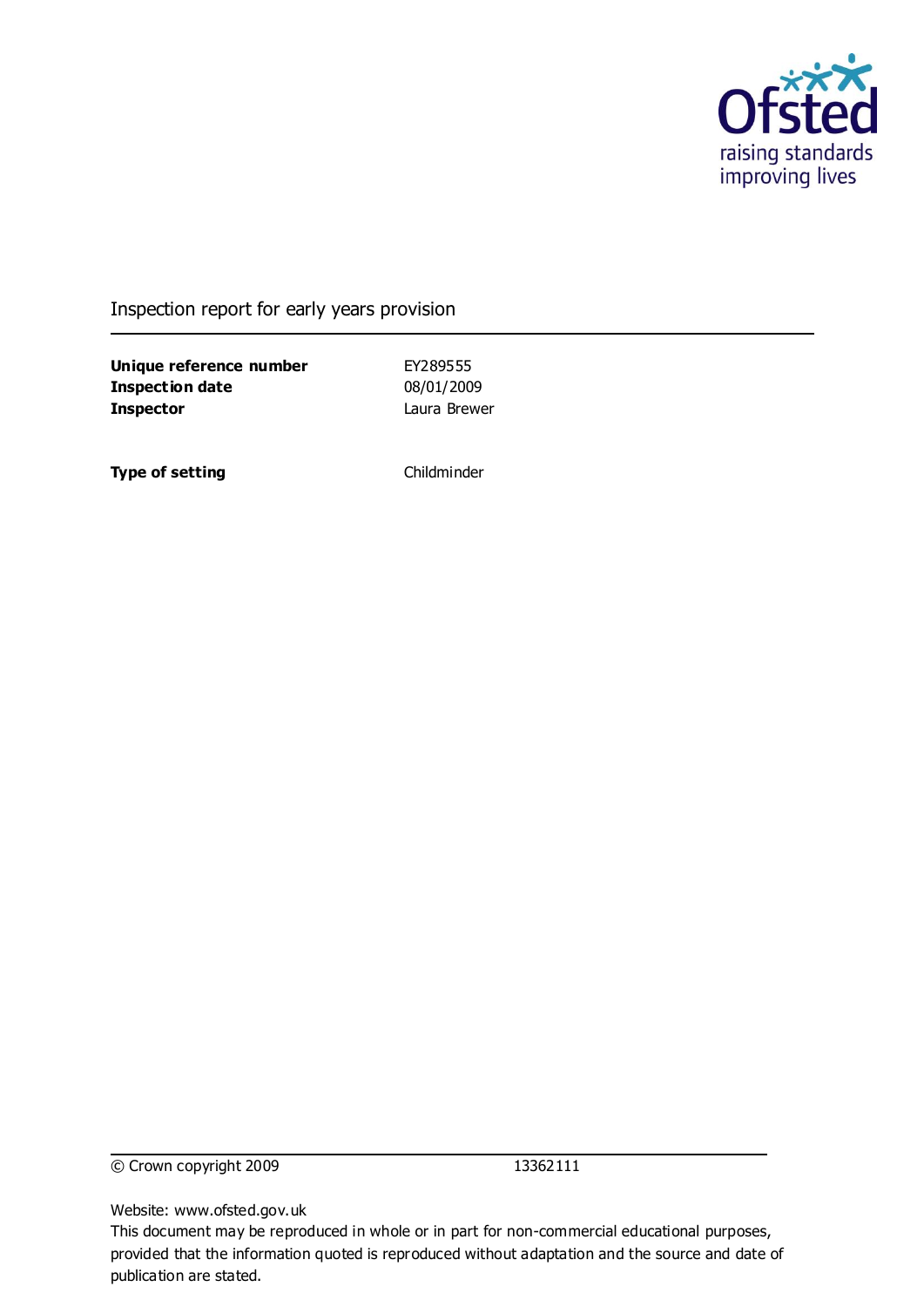

### Inspection report for early years provision

**Unique reference number** EY289555 **Inspection date** 08/01/2009 **Inspector** Laura Brewer

**Type of setting** Childminder

© Crown copyright 2009 13362111

Website: www.ofsted.gov.uk

This document may be reproduced in whole or in part for non-commercial educational purposes, provided that the information quoted is reproduced without adaptation and the source and date of publication are stated.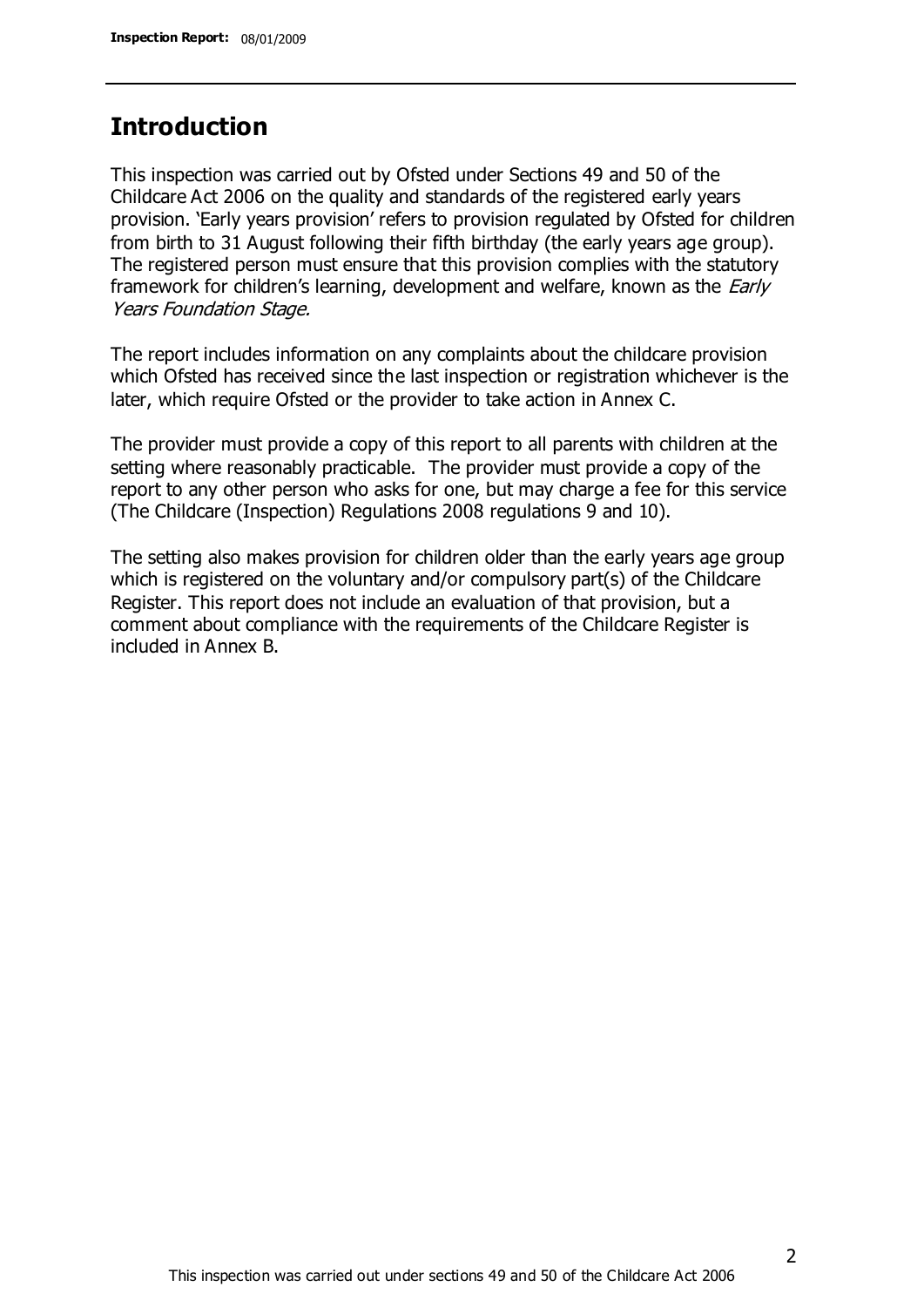## **Introduction**

This inspection was carried out by Ofsted under Sections 49 and 50 of the Childcare Act 2006 on the quality and standards of the registered early years provision. 'Early years provision' refers to provision regulated by Ofsted for children from birth to 31 August following their fifth birthday (the early years age group). The registered person must ensure that this provision complies with the statutory framework for children's learning, development and welfare, known as the *Early* Years Foundation Stage.

The report includes information on any complaints about the childcare provision which Ofsted has received since the last inspection or registration whichever is the later, which require Ofsted or the provider to take action in Annex C.

The provider must provide a copy of this report to all parents with children at the setting where reasonably practicable. The provider must provide a copy of the report to any other person who asks for one, but may charge a fee for this service (The Childcare (Inspection) Regulations 2008 regulations 9 and 10).

The setting also makes provision for children older than the early years age group which is registered on the voluntary and/or compulsory part(s) of the Childcare Register. This report does not include an evaluation of that provision, but a comment about compliance with the requirements of the Childcare Register is included in Annex B.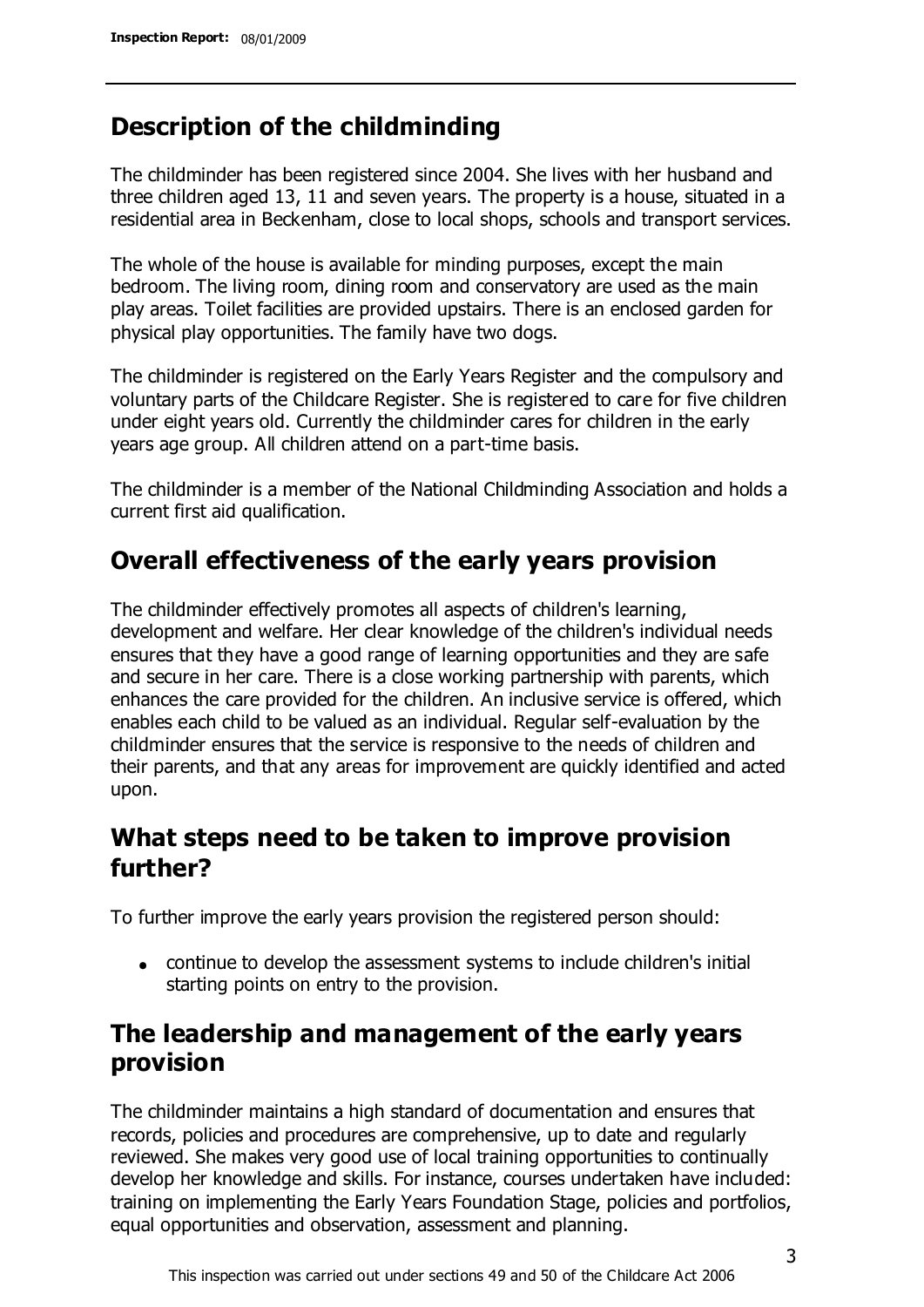# **Description of the childminding**

The childminder has been registered since 2004. She lives with her husband and three children aged 13, 11 and seven years. The property is a house, situated in a residential area in Beckenham, close to local shops, schools and transport services.

The whole of the house is available for minding purposes, except the main bedroom. The living room, dining room and conservatory are used as the main play areas. Toilet facilities are provided upstairs. There is an enclosed garden for physical play opportunities. The family have two dogs.

The childminder is registered on the Early Years Register and the compulsory and voluntary parts of the Childcare Register. She is registered to care for five children under eight years old. Currently the childminder cares for children in the early years age group. All children attend on a part-time basis.

The childminder is a member of the National Childminding Association and holds a current first aid qualification.

# **Overall effectiveness of the early years provision**

The childminder effectively promotes all aspects of children's learning, development and welfare. Her clear knowledge of the children's individual needs ensures that they have a good range of learning opportunities and they are safe and secure in her care. There is a close working partnership with parents, which enhances the care provided for the children. An inclusive service is offered, which enables each child to be valued as an individual. Regular self-evaluation by the childminder ensures that the service is responsive to the needs of children and their parents, and that any areas for improvement are quickly identified and acted upon.

# **What steps need to be taken to improve provision further?**

To further improve the early years provision the registered person should:

continue to develop the assessment systems to include children's initial starting points on entry to the provision.

# **The leadership and management of the early years provision**

The childminder maintains a high standard of documentation and ensures that records, policies and procedures are comprehensive, up to date and regularly reviewed. She makes very good use of local training opportunities to continually develop her knowledge and skills. For instance, courses undertaken have included: training on implementing the Early Years Foundation Stage, policies and portfolios, equal opportunities and observation, assessment and planning.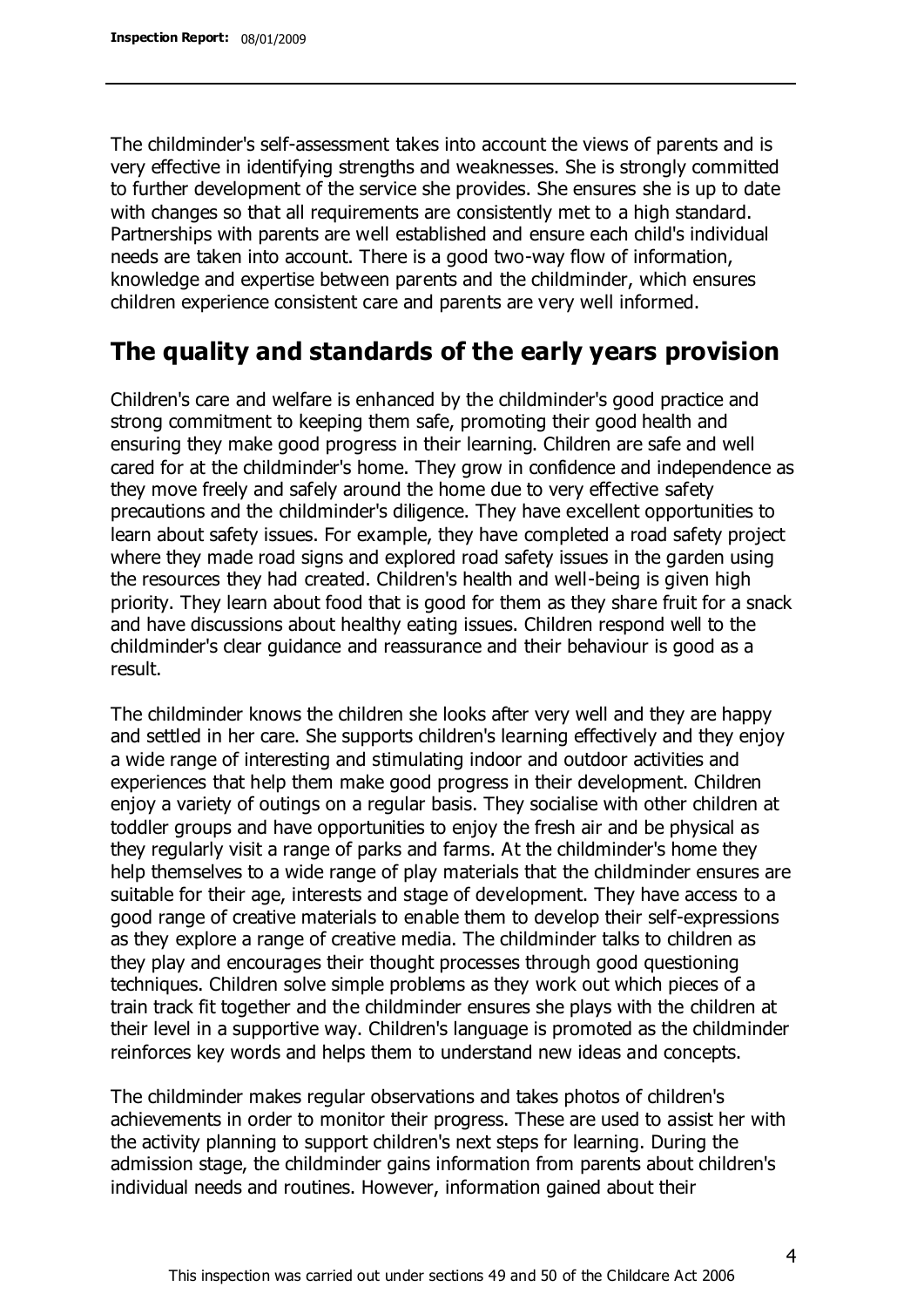The childminder's self-assessment takes into account the views of parents and is very effective in identifying strengths and weaknesses. She is strongly committed to further development of the service she provides. She ensures she is up to date with changes so that all requirements are consistently met to a high standard. Partnerships with parents are well established and ensure each child's individual needs are taken into account. There is a good two-way flow of information, knowledge and expertise between parents and the childminder, which ensures children experience consistent care and parents are very well informed.

## **The quality and standards of the early years provision**

Children's care and welfare is enhanced by the childminder's good practice and strong commitment to keeping them safe, promoting their good health and ensuring they make good progress in their learning. Children are safe and well cared for at the childminder's home. They grow in confidence and independence as they move freely and safely around the home due to very effective safety precautions and the childminder's diligence. They have excellent opportunities to learn about safety issues. For example, they have completed a road safety project where they made road signs and explored road safety issues in the garden using the resources they had created. Children's health and well-being is given high priority. They learn about food that is good for them as they share fruit for a snack and have discussions about healthy eating issues. Children respond well to the childminder's clear guidance and reassurance and their behaviour is good as a result.

The childminder knows the children she looks after very well and they are happy and settled in her care. She supports children's learning effectively and they enjoy a wide range of interesting and stimulating indoor and outdoor activities and experiences that help them make good progress in their development. Children enjoy a variety of outings on a regular basis. They socialise with other children at toddler groups and have opportunities to enjoy the fresh air and be physical as they regularly visit a range of parks and farms. At the childminder's home they help themselves to a wide range of play materials that the childminder ensures are suitable for their age, interests and stage of development. They have access to a good range of creative materials to enable them to develop their self-expressions as they explore a range of creative media. The childminder talks to children as they play and encourages their thought processes through good questioning techniques. Children solve simple problems as they work out which pieces of a train track fit together and the childminder ensures she plays with the children at their level in a supportive way. Children's language is promoted as the childminder reinforces key words and helps them to understand new ideas and concepts.

The childminder makes regular observations and takes photos of children's achievements in order to monitor their progress. These are used to assist her with the activity planning to support children's next steps for learning. During the admission stage, the childminder gains information from parents about children's individual needs and routines. However, information gained about their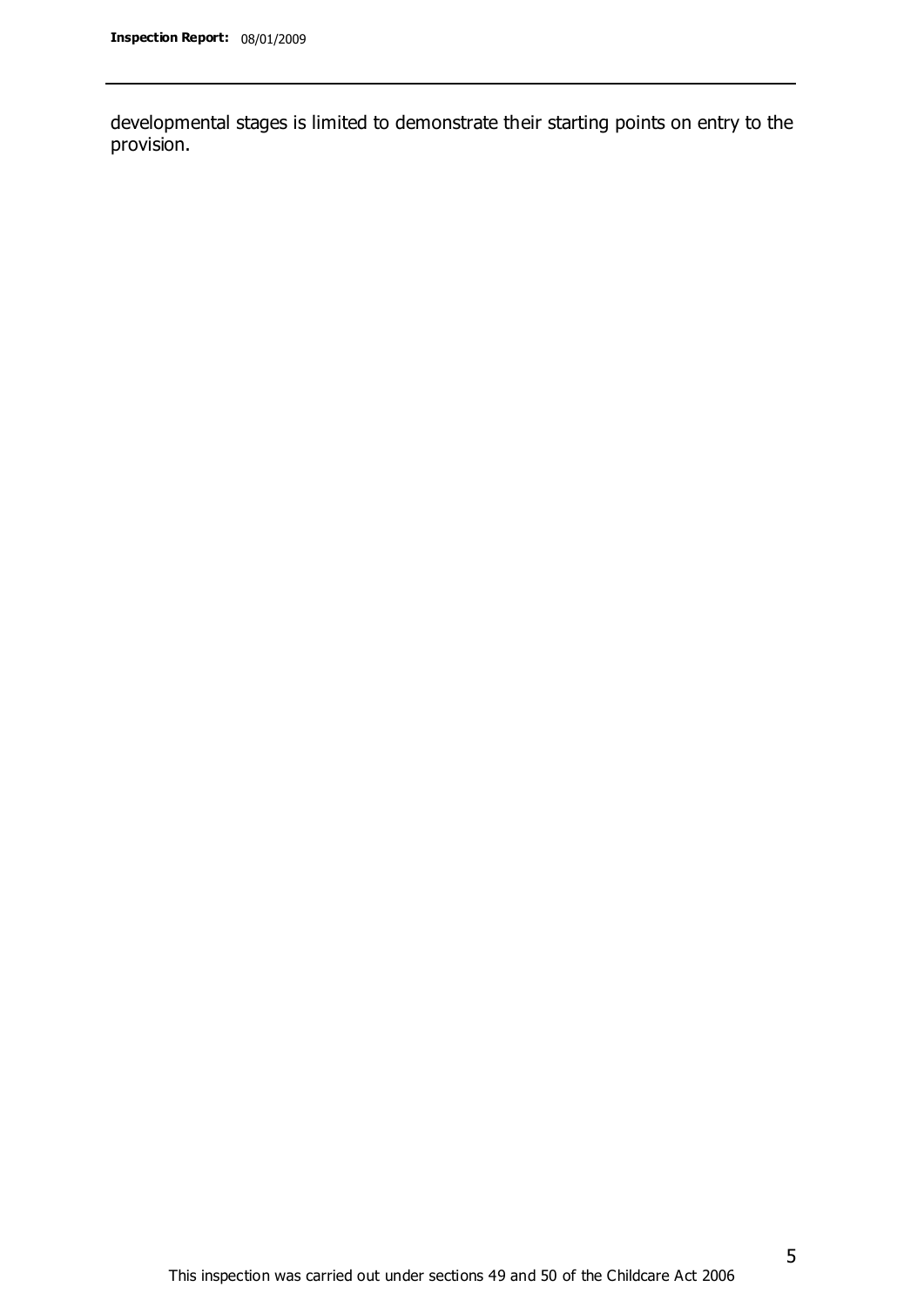developmental stages is limited to demonstrate their starting points on entry to the provision.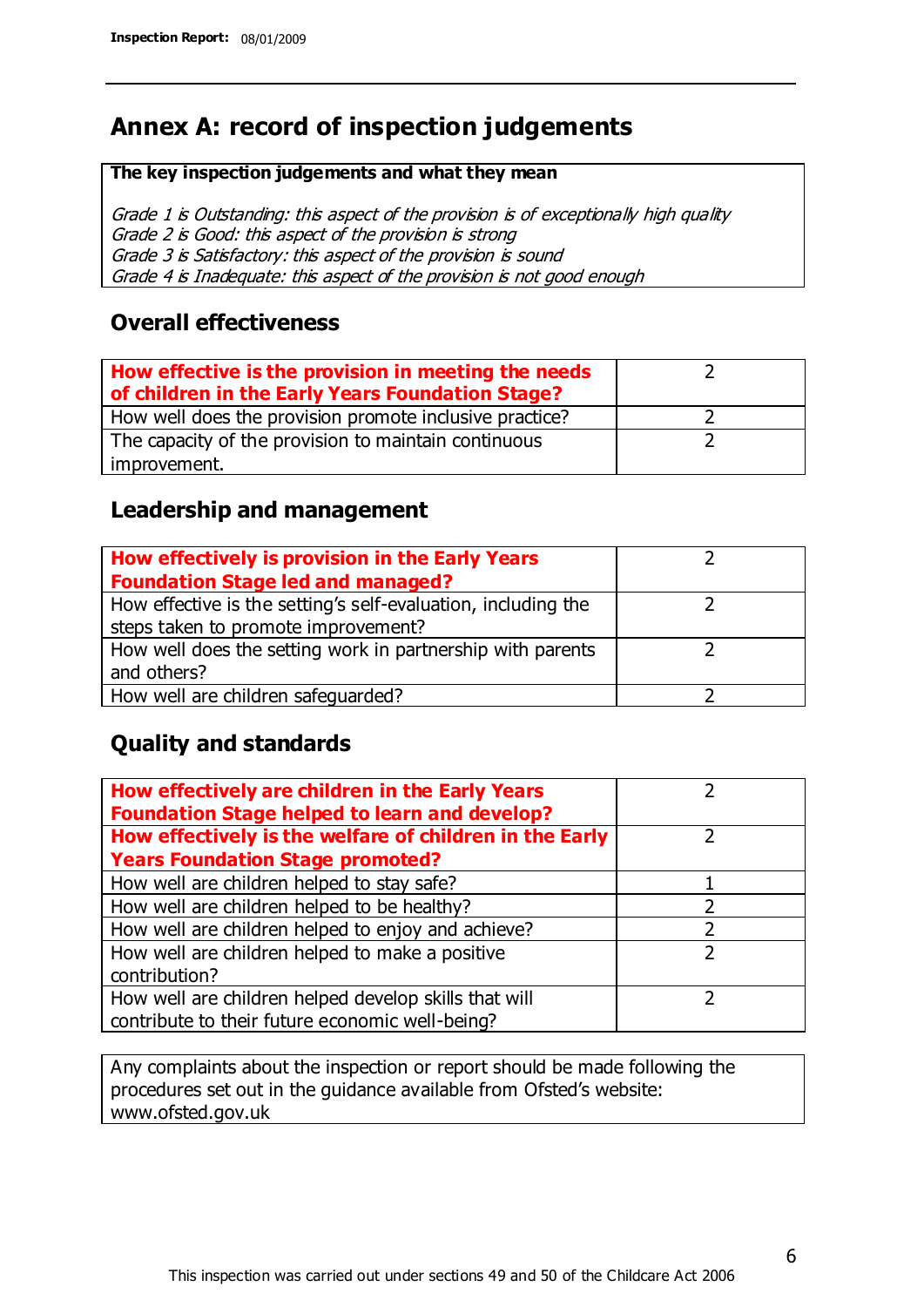# **Annex A: record of inspection judgements**

#### **The key inspection judgements and what they mean**

Grade 1 is Outstanding: this aspect of the provision is of exceptionally high quality Grade 2 is Good: this aspect of the provision is strong Grade 3 is Satisfactory: this aspect of the provision is sound Grade 4 is Inadequate: this aspect of the provision is not good enough

### **Overall effectiveness**

| How effective is the provision in meeting the needs<br>of children in the Early Years Foundation Stage? |  |
|---------------------------------------------------------------------------------------------------------|--|
| How well does the provision promote inclusive practice?                                                 |  |
| The capacity of the provision to maintain continuous                                                    |  |
| improvement.                                                                                            |  |

### **Leadership and management**

| How effectively is provision in the Early Years               |  |
|---------------------------------------------------------------|--|
| <b>Foundation Stage led and managed?</b>                      |  |
| How effective is the setting's self-evaluation, including the |  |
| steps taken to promote improvement?                           |  |
| How well does the setting work in partnership with parents    |  |
| and others?                                                   |  |
| How well are children safequarded?                            |  |

### **Quality and standards**

| How effectively are children in the Early Years<br><b>Foundation Stage helped to learn and develop?</b> |               |
|---------------------------------------------------------------------------------------------------------|---------------|
| How effectively is the welfare of children in the Early                                                 | ר             |
| <b>Years Foundation Stage promoted?</b>                                                                 |               |
| How well are children helped to stay safe?                                                              |               |
| How well are children helped to be healthy?                                                             |               |
| How well are children helped to enjoy and achieve?                                                      | 2             |
| How well are children helped to make a positive                                                         | $\mathcal{P}$ |
| contribution?                                                                                           |               |
| How well are children helped develop skills that will                                                   |               |
| contribute to their future economic well-being?                                                         |               |

Any complaints about the inspection or report should be made following the procedures set out in the guidance available from Ofsted's website: www.ofsted.gov.uk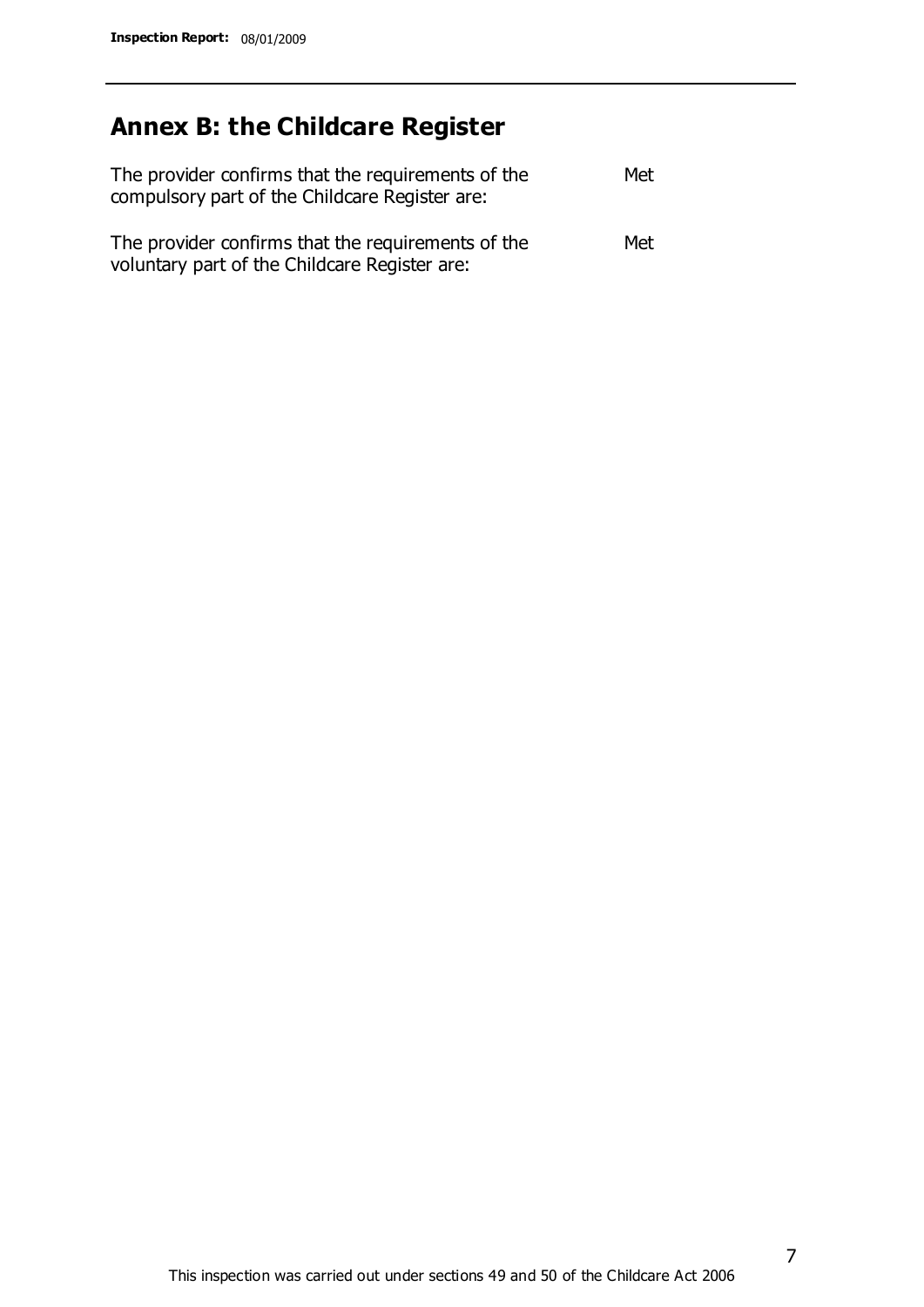# **Annex B: the Childcare Register**

| The provider confirms that the requirements of the<br>compulsory part of the Childcare Register are: | Met |
|------------------------------------------------------------------------------------------------------|-----|
| The provider confirms that the requirements of the<br>voluntary part of the Childcare Register are:  | Met |